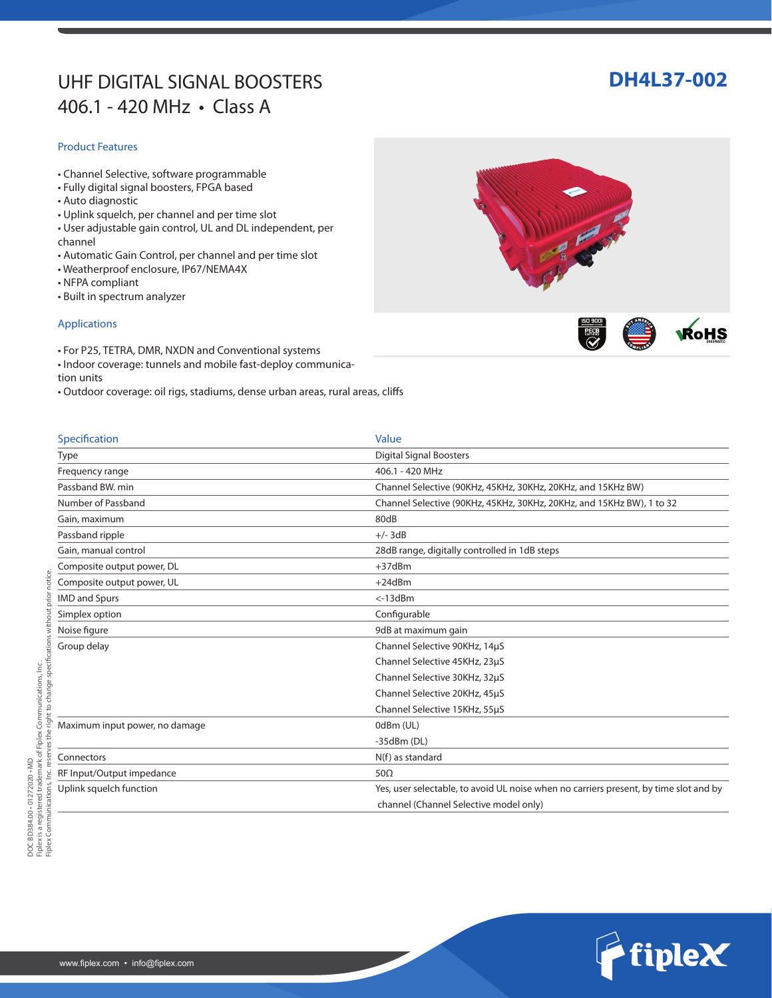# UHF DIGITAL SIGNAL BOOSTERS **DH4L37-002** 406.1 - 420 MHz • Class A

### Product Features

- Channel Selective, software programmable
- Fully digital signal boosters, FPGA based
- Auto diagnostic
- Uplink squelch, per channel and per time slot
- User adjustable gain control, UL and DL independent, per channel
- Automatic Gain Control, per channel and per time slot
- Weatherproof enclosure, IP67/NEMA4X
- NFPA compliant
- Built in spectrum analyzer

### Applications

- For P25, TETRA, DMR, NXDN and Conventional systems
- Indoor coverage: tunnels and mobile fast-deploy communication units
- Outdoor coverage: oil rigs, stadiums, dense urban areas, rural areas, cliffs

| Specification                  | Value                                                                                 |
|--------------------------------|---------------------------------------------------------------------------------------|
| <b>Type</b>                    | <b>Digital Signal Boosters</b>                                                        |
| Frequency range                | 406.1 - 420 MHz                                                                       |
| Passband BW, min               | Channel Selective (90KHz, 45KHz, 30KHz, 20KHz, and 15KHz BW)                          |
| Number of Passband             | Channel Selective (90KHz, 45KHz, 30KHz, 20KHz, and 15KHz BW), 1 to 32                 |
| Gain, maximum                  | 80dB                                                                                  |
| Passband ripple                | $+/-$ 3dB                                                                             |
| Gain, manual control           | 28dB range, digitally controlled in 1dB steps                                         |
| Composite output power, DL     | $+37$ d $Bm$                                                                          |
| Composite output power, UL     | $+24dBm$                                                                              |
| <b>IMD and Spurs</b>           | $< -13$ d $Bm$                                                                        |
| Simplex option                 | Configurable                                                                          |
| Noise figure                   | 9dB at maximum gain                                                                   |
| Group delay                    | Channel Selective 90KHz, 14µS                                                         |
|                                | Channel Selective 45KHz, 23µS                                                         |
|                                | Channel Selective 30KHz, 32µS                                                         |
|                                | Channel Selective 20KHz, 45µS                                                         |
|                                | Channel Selective 15KHz, 55µS                                                         |
| Maximum input power, no damage | 0dBm (UL)                                                                             |
|                                | $-35dBm(DL)$                                                                          |
| Connectors                     | N(f) as standard                                                                      |
| RF Input/Output impedance      | $50\Omega$                                                                            |
| Uplink squelch function        | Yes, user selectable, to avoid UL noise when no carriers present, by time slot and by |
|                                | channel (Channel Selective model only)                                                |